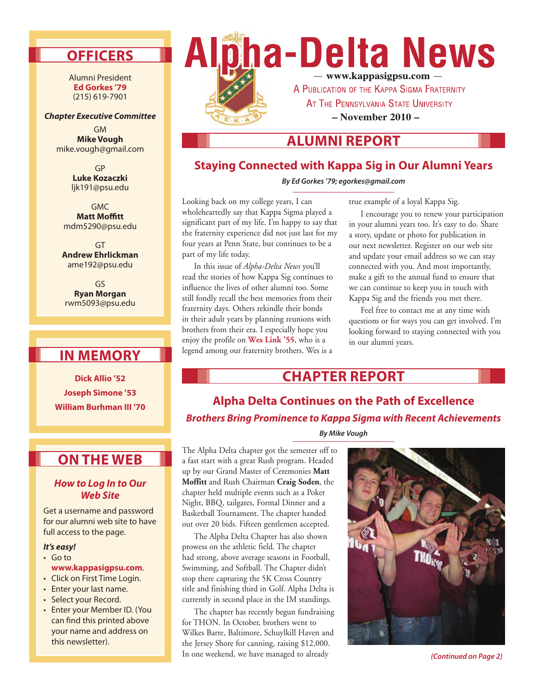## **Officers**

Alumni President **Ed Gorkes '79**  (215) 619-7901

#### *Chapter Executive Committee*

GM **Mike Vough** mike.vough@gmail.com

> GP **Luke Kozaczki** ljk191@psu.edu

GMC **Matt Moffitt** mdm5290@psu.edu

GT **Andrew Ehrlickman** ame192@psu.edu

GS **Ryan Morgan** rwm5093@psu.edu

# **In Me mory**

**Dick Allio '52 Joseph Simone '53 William Burhman III '70**

### **On the Web**

#### *How to Log In to Our Web Site*

Get a username and password for our alumni web site to have full access to the page.

#### *It's easy!*

- • Go to **www.kappasigpsu.com**.
- Click on First Time Login.
- Enter your last name.
- • Select your Record.
- • Enter your Member ID. (You can find this printed above your name and address on this newsletter).



AT THE PENNSYLVANIA STATE UNIVERSITY

**– November 2010 –**

**Alumni Repor t**

### **Staying Connected with Kappa Sig in Our Alumni Years**

*By Ed Gorkes '79; egorkes@gmail.com*

Looking back on my college years, I can wholeheartedly say that Kappa Sigma played a significant part of my life. I'm happy to say that the fraternity experience did not just last for my four years at Penn State, but continues to be a part of my life today.

In this issue of *Alpha-Delta News* you'll read the stories of how Kappa Sig continues to influence the lives of other alumni too. Some still fondly recall the best memories from their fraternity days. Others rekindle their bonds in their adult years by planning reunions with brothers from their era. I especially hope you enjoy the profile on **Wes Link '55**, who is a legend among our fraternity brothers. Wes is a

true example of a loyal Kappa Sig.

I encourage you to renew your participation in your alumni years too. It's easy to do. Share a story, update or photo for publication in our next newsletter. Register on our web site and update your email address so we can stay connected with you. And most importantly, make a gift to the annual fund to ensure that we can continue to keep you in touch with Kappa Sig and the friends you met there.

Feel free to contact me at any time with questions or for ways you can get involved. I'm looking forward to staying connected with you in our alumni years.

### **CHAPTER REPORT**

**Alpha Delta Continues on the Path of Excellence** *Brothers Bring Prominence to Kappa Sigma with Recent Achievements*

*By Mike Vough*

The Alpha Delta chapter got the semester off to a fast start with a great Rush program. Headed up by our Grand Master of Ceremonies **Matt Moffitt** and Rush Chairman **Craig Soden**, the chapter held multiple events such as a Poker Night, BBQ, tailgates, Formal Dinner and a Basketball Tournament. The chapter handed out over 20 bids. Fifteen gentlemen accepted.

The Alpha Delta Chapter has also shown prowess on the athletic field. The chapter had strong, above average seasons in Football, Swimming, and Softball. The Chapter didn't stop there capturing the 5K Cross Country title and finishing third in Golf. Alpha Delta is currently in second place in the IM standings.

The chapter has recently begun fundraising for THON. In October, brothers went to Wilkes Barre, Baltimore, Schuylkill Haven and the Jersey Shore for canning, raising \$12,000. In one weekend, we have managed to already



*(Continued on Page 2)*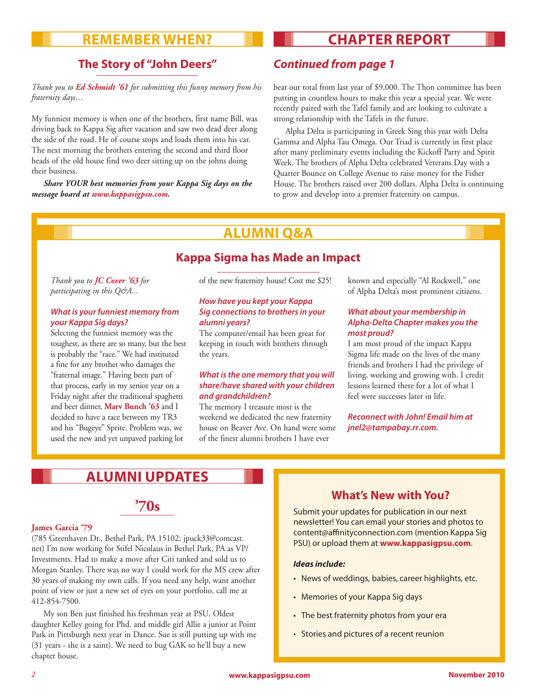### **Remember When?**

# **CHAPTER REPORT**

### **The Story of "John Deers"** *Continued from page 1*

#### *Thank you to Ed Schmidt '61 for submitting this funny memory from his fraternity days…*

My funniest memory is when one of the brothers, first name Bill, was driving back to Kappa Sig after vacation and saw two dead deer along the side of the road. He of course stops and loads them into his car. The next morning the brothers entering the second and third floor heads of the old house find two deer sitting up on the johns doing their business.

*Share YOUR best memories from your Kappa Sig days on the message board at www.kappasigpsu.com.*

beat our total from last year of \$9,000. The Thon committee has been putting in countless hours to make this year a special year. We were recently paired with the Tafel family and are looking to cultivate a strong relationship with the Tafels in the future.

Alpha Delta is participating in Greek Sing this year with Delta Gamma and Alpha Tau Omega. Our Triad is currently in first place after many preliminary events including the Kickoff Party and Spirit Week. The brothers of Alpha Delta celebrated Veterans Day with a Quarter Bounce on College Avenue to raise money for the Fisher House. The brothers raised over 200 dollars. Alpha Delta is continuing to grow and develop into a premier fraternity on campus.

# **Alumni Q&A**

### **Kappa Sigma has Made an Impact**

#### *Thank you to JC Cover '63 for participating in this Q&A...*

#### *What is your funniest memory from your Kappa Sig days?*

Selecting the funniest memory was the toughest, as there are so many, but the best is probably the "race." We had instituted a fine for any brother who damages the "fraternal image." Having been part of that process, early in my senior year on a Friday night after the traditional spaghetti and beer dinner, **Marv Bunch '63** and I decided to have a race between my TR3 and his "Bugeye" Sprite. Problem was, we used the new and yet unpaved parking lot

of the new fraternity house! Cost me \$25!

#### *How have you kept your Kappa Sig connections to brothers in your alumni years?*

The computer/email has been great for keeping in touch with brothers through the years.

#### *What is the one memory that you will share/have shared with your children and grandchildren?*

The memory I treasure most is the weekend we dedicated the new fraternity house on Beaver Ave. On hand were some of the finest alumni brothers I have ever

known and especially "Al Rockwell," one of Alpha Delta's most prominent citizens.

#### *What about your membership in Alpha-Delta Chapter makes you the most proud?*

I am most proud of the impact Kappa Sigma life made on the lives of the many friends and brothers I had the privilege of living, working and growing with. I credit lessons learned there for a lot of what I feel were successes later in life.

*Reconnect with John! Email him at jnel2@tampabay.rr.com.*

# **ALUMNI UPDATES**

**'70s**

### **James Garcia '79**

(785 Greenhaven Dr., Bethel Park, PA 15102; jpuck33@comcast. net) I'm now working for Stifel Nicolaus in Bethel Park, PA as VP/ Investments. Had to make a move after Citi tanked and sold us to Morgan Stanley. There was no way I could work for the MS crew after 30 years of making my own calls. If you need any help, want another point of view or just a new set of eyes on your portfolio, call me at 412-854-7500.

My son Ben just finished his freshman year at PSU. Oldest daughter Kelley going for Phd. and middle girl Allie a junior at Point Park in Pittsburgh next year in Dance. Sue is still putting up with me (31 years - she is a saint). We need to bug GAK so he'll buy a new chapter house.

### **What's New with You?**

Submit your updates for publication in our next newsletter! You can email your stories and photos to content@affinityconnection.com (mention Kappa Sig PSU) or upload them at **www.kappasigpsu.com**.

#### *Ideas include:*

- News of weddings, babies, career highlights, etc.
- Memories of your Kappa Sig days
- The best fraternity photos from your era
- Stories and pictures of a recent reunion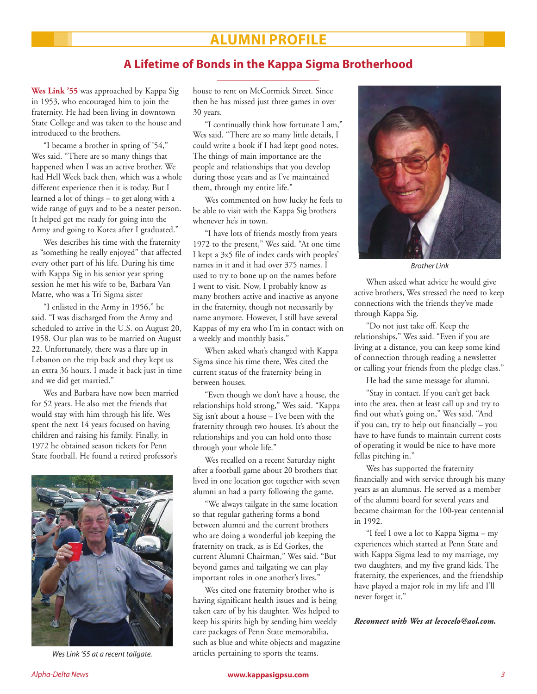### **ALUMNI PROFILE**

### **A Lifetime of Bonds in the Kappa Sigma Brotherhood**

**Wes Link '55** was approached by Kappa Sig in 1953, who encouraged him to join the fraternity. He had been living in downtown State College and was taken to the house and introduced to the brothers.

"I became a brother in spring of '54," Wes said. "There are so many things that happened when I was an active brother. We had Hell Week back then, which was a whole different experience then it is today. But I learned a lot of things – to get along with a wide range of guys and to be a neater person. It helped get me ready for going into the Army and going to Korea after I graduated."

Wes describes his time with the fraternity as "something he really enjoyed" that affected every other part of his life. During his time with Kappa Sig in his senior year spring session he met his wife to be, Barbara Van Matre, who was a Tri Sigma sister

"I enlisted in the Army in 1956," he said. "I was discharged from the Army and scheduled to arrive in the U.S. on August 20, 1958. Our plan was to be married on August 22. Unfortunately, there was a flare up in Lebanon on the trip back and they kept us an extra 36 hours. I made it back just in time and we did get married."

Wes and Barbara have now been married for 52 years. He also met the friends that would stay with him through his life. Wes spent the next 14 years focused on having children and raising his family. Finally, in 1972 he obtained season tickets for Penn State football. He found a retired professor's



*Wes Link '55 at a recent tailgate.*

house to rent on McCormick Street. Since then he has missed just three games in over 30 years.

"I continually think how fortunate I am," Wes said. "There are so many little details, I could write a book if I had kept good notes. The things of main importance are the people and relationships that you develop during those years and as I've maintained them, through my entire life."

Wes commented on how lucky he feels to be able to visit with the Kappa Sig brothers whenever he's in town.

"I have lots of friends mostly from years 1972 to the present," Wes said. "At one time I kept a 3x5 file of index cards with peoples' names in it and it had over 375 names. I used to try to bone up on the names before I went to visit. Now, I probably know as many brothers active and inactive as anyone in the fraternity, though not necessarily by name anymore. However, I still have several Kappas of my era who I'm in contact with on a weekly and monthly basis."

When asked what's changed with Kappa Sigma since his time there, Wes cited the current status of the fraternity being in between houses.

"Even though we don't have a house, the relationships hold strong," Wes said. "Kappa Sig isn't about a house – I've been with the fraternity through two houses. It's about the relationships and you can hold onto those through your whole life."

Wes recalled on a recent Saturday night after a football game about 20 brothers that lived in one location got together with seven alumni an had a party following the game.

"We always tailgate in the same location so that regular gathering forms a bond between alumni and the current brothers who are doing a wonderful job keeping the fraternity on track, as is Ed Gorkes, the current Alumni Chairman," Wes said. "But beyond games and tailgating we can play important roles in one another's lives."

Wes cited one fraternity brother who is having significant health issues and is being taken care of by his daughter. Wes helped to keep his spirits high by sending him weekly care packages of Penn State memorabilia, such as blue and white objects and magazine articles pertaining to sports the teams.



*Brother Link*

When asked what advice he would give active brothers, Wes stressed the need to keep connections with the friends they've made through Kappa Sig.

"Do not just take off. Keep the relationships," Wes said. "Even if you are living at a distance, you can keep some kind of connection through reading a newsletter or calling your friends from the pledge class."

He had the same message for alumni.

"Stay in contact. If you can't get back into the area, then at least call up and try to find out what's going on," Wes said. "And if you can, try to help out financially – you have to have funds to maintain current costs of operating it would be nice to have more fellas pitching in."

Wes has supported the fraternity financially and with service through his many years as an alumnus. He served as a member of the alumni board for several years and became chairman for the 100-year centennial in 1992.

"I feel I owe a lot to Kappa Sigma – my experiences which started at Penn State and with Kappa Sigma lead to my marriage, my two daughters, and my five grand kids. The fraternity, the experiences, and the friendship have played a major role in my life and I'll never forget it."

*Reconnect with Wes at lecocelo@aol.com.*